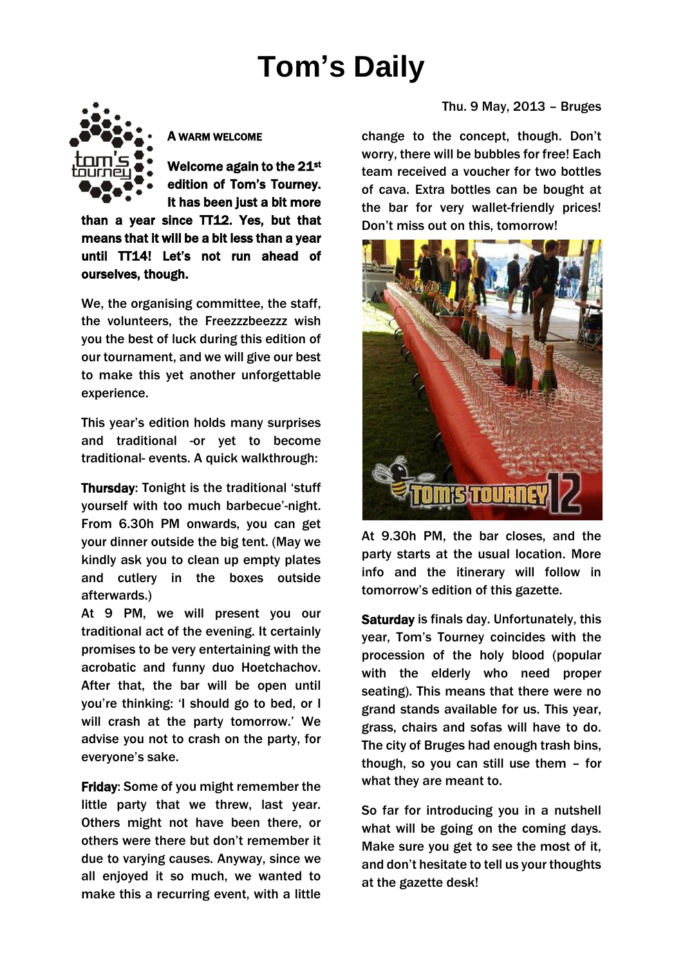# **Tom's Daily**



A WARM WELCOME

Welcome again to the 21 $^{\rm st}$ edition of Tom's Tourney. It has been just a bit more

than a year since TT12. Yes, but that means that it will be a bit less than a year until TT14! Let's not run ahead of ourselves, though.

We, the organising committee, the staff, the volunteers, the Freezzzbeezzz wish you the best of luck during this edition of our tournament, and we will give our best to make this yet another unforgettable experience.

This year's edition holds many surprises and traditional -or yet to become traditional- events. A quick walkthrough:

Thursday: Tonight is the traditional 'stuff yourself with too much barbecue'-night. From 6.30h PM onwards, you can get your dinner outside the big tent. (May we kindly ask you to clean up empty plates and cutlery in the boxes outside afterwards.)

At 9 PM, we will present you our traditional act of the evening. It certainly promises to be very entertaining with the acrobatic and funny duo Hoetchachov. After that, the bar will be open until you're thinking: 'I should go to bed, or I will crash at the party tomorrow.' We advise you not to crash on the party, for everyone's sake.

Friday: Some of you might remember the little party that we threw, last year. Others might not have been there, or others were there but don't remember it due to varying causes. Anyway, since we all enjoyed it so much, we wanted to make this a recurring event, with a little change to the concept, though. Don't worry, there will be bubbles for free! Each team received a voucher for two bottles of cava. Extra bottles can be bought at the bar for very wallet-friendly prices! Don't miss out on this, tomorrow!



At 9.30h PM, the bar closes, and the party starts at the usual location. More info and the itinerary will follow in tomorrow's edition of this gazette.

Saturday is finals day. Unfortunately, this year, Tom's Tourney coincides with the procession of the holy blood (popular with the elderly who need proper seating). This means that there were no grand stands available for us. This year, grass, chairs and sofas will have to do. The city of Bruges had enough trash bins, though, so you can still use them – for what they are meant to.

So far for introducing you in a nutshell what will be going on the coming days. Make sure you get to see the most of it, and don't hesitate to tell us your thoughts at the gazette desk!